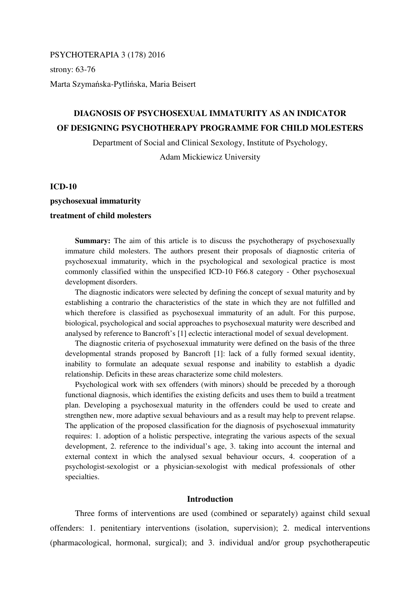PSYCHOTERAPIA 3 (178) 2016 strony: 63-76 Marta Szymańska-Pytlińska, Maria Beisert

# **DIAGNOSIS OF PSYCHOSEXUAL IMMATURITY AS AN INDICATOR OF DESIGNING PSYCHOTHERAPY PROGRAMME FOR CHILD MOLESTERS**

Department of Social and Clinical Sexology, Institute of Psychology,

Adam Mickiewicz University

#### **ICD-10**

# **psychosexual immaturity treatment of child molesters**

**Summary:** The aim of this article is to discuss the psychotherapy of psychosexually immature child molesters. The authors present their proposals of diagnostic criteria of psychosexual immaturity, which in the psychological and sexological practice is most commonly classified within the unspecified ICD-10 F66.8 category - Other psychosexual development disorders.

The diagnostic indicators were selected by defining the concept of sexual maturity and by establishing a contrario the characteristics of the state in which they are not fulfilled and which therefore is classified as psychosexual immaturity of an adult. For this purpose, biological, psychological and social approaches to psychosexual maturity were described and analysed by reference to Bancroft's [1] eclectic interactional model of sexual development.

The diagnostic criteria of psychosexual immaturity were defined on the basis of the three developmental strands proposed by Bancroft [1]: lack of a fully formed sexual identity, inability to formulate an adequate sexual response and inability to establish a dyadic relationship. Deficits in these areas characterize some child molesters.

Psychological work with sex offenders (with minors) should be preceded by a thorough functional diagnosis, which identifies the existing deficits and uses them to build a treatment plan. Developing a psychosexual maturity in the offenders could be used to create and strengthen new, more adaptive sexual behaviours and as a result may help to prevent relapse. The application of the proposed classification for the diagnosis of psychosexual immaturity requires: 1. adoption of a holistic perspective, integrating the various aspects of the sexual development, 2. reference to the individual's age, 3. taking into account the internal and external context in which the analysed sexual behaviour occurs, 4. cooperation of a psychologist-sexologist or a physician-sexologist with medical professionals of other specialties.

#### **Introduction**

 Three forms of interventions are used (combined or separately) against child sexual offenders: 1. penitentiary interventions (isolation, supervision); 2. medical interventions (pharmacological, hormonal, surgical); and 3. individual and/or group psychotherapeutic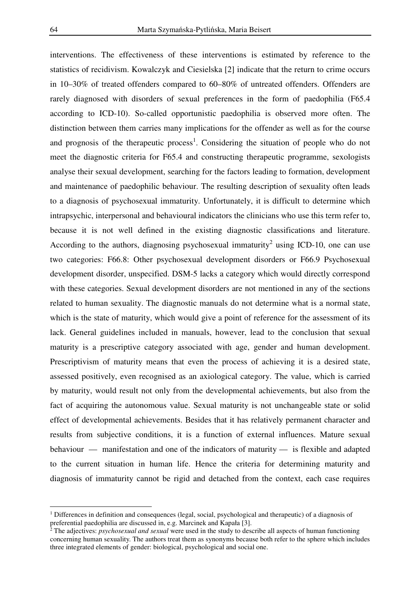interventions. The effectiveness of these interventions is estimated by reference to the statistics of recidivism. Kowalczyk and Ciesielska [2] indicate that the return to crime occurs in 10–30% of treated offenders compared to 60–80% of untreated offenders. Offenders are rarely diagnosed with disorders of sexual preferences in the form of paedophilia (F65.4 according to ICD-10). So-called opportunistic paedophilia is observed more often. The distinction between them carries many implications for the offender as well as for the course and prognosis of the therapeutic process<sup>1</sup>. Considering the situation of people who do not meet the diagnostic criteria for F65.4 and constructing therapeutic programme, sexologists analyse their sexual development, searching for the factors leading to formation, development and maintenance of paedophilic behaviour. The resulting description of sexuality often leads to a diagnosis of psychosexual immaturity. Unfortunately, it is difficult to determine which intrapsychic, interpersonal and behavioural indicators the clinicians who use this term refer to, because it is not well defined in the existing diagnostic classifications and literature. According to the authors, diagnosing psychosexual immaturity<sup>2</sup> using ICD-10, one can use two categories: F66.8: Other psychosexual development disorders or F66.9 Psychosexual development disorder, unspecified. DSM-5 lacks a category which would directly correspond with these categories. Sexual development disorders are not mentioned in any of the sections related to human sexuality. The diagnostic manuals do not determine what is a normal state, which is the state of maturity, which would give a point of reference for the assessment of its lack. General guidelines included in manuals, however, lead to the conclusion that sexual maturity is a prescriptive category associated with age, gender and human development. Prescriptivism of maturity means that even the process of achieving it is a desired state, assessed positively, even recognised as an axiological category. The value, which is carried by maturity, would result not only from the developmental achievements, but also from the fact of acquiring the autonomous value. Sexual maturity is not unchangeable state or solid effect of developmental achievements. Besides that it has relatively permanent character and results from subjective conditions, it is a function of external influences. Mature sexual behaviour — manifestation and one of the indicators of maturity — is flexible and adapted to the current situation in human life. Hence the criteria for determining maturity and diagnosis of immaturity cannot be rigid and detached from the context, each case requires

 $\overline{a}$ 

<sup>&</sup>lt;sup>1</sup> Differences in definition and consequences (legal, social, psychological and therapeutic) of a diagnosis of preferential paedophilia are discussed in, e.g. Marcinek and Kapała [3].

<sup>2</sup> The adjectives: *psychosexual and sexual* were used in the study to describe all aspects of human functioning concerning human sexuality. The authors treat them as synonyms because both refer to the sphere which includes three integrated elements of gender: biological, psychological and social one.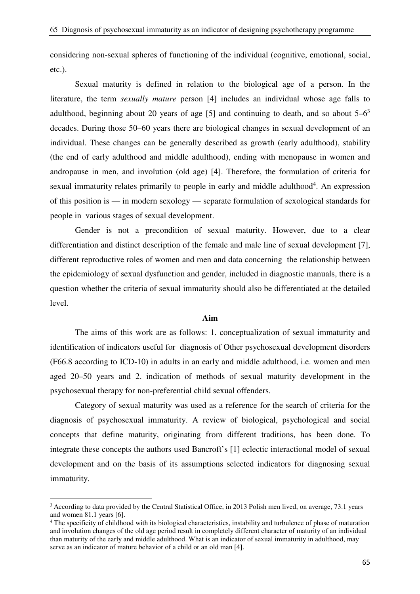considering non-sexual spheres of functioning of the individual (cognitive, emotional, social, etc.).

 Sexual maturity is defined in relation to the biological age of a person. In the literature, the term *sexually mature* person [4] includes an individual whose age falls to adulthood, beginning about 20 years of age [5] and continuing to death, and so about  $5-6<sup>3</sup>$ decades. During those 50–60 years there are biological changes in sexual development of an individual. These changes can be generally described as growth (early adulthood), stability (the end of early adulthood and middle adulthood), ending with menopause in women and andropause in men, and involution (old age) [4]. Therefore, the formulation of criteria for sexual immaturity relates primarily to people in early and middle adulthood<sup>4</sup>. An expression of this position is — in modern sexology — separate formulation of sexological standards for people in various stages of sexual development.

 Gender is not a precondition of sexual maturity. However, due to a clear differentiation and distinct description of the female and male line of sexual development [7], different reproductive roles of women and men and data concerning the relationship between the epidemiology of sexual dysfunction and gender, included in diagnostic manuals, there is a question whether the criteria of sexual immaturity should also be differentiated at the detailed level.

#### **Aim**

 The aims of this work are as follows: 1. conceptualization of sexual immaturity and identification of indicators useful for diagnosis of Other psychosexual development disorders (F66.8 according to ICD-10) in adults in an early and middle adulthood, i.e. women and men aged 20–50 years and 2. indication of methods of sexual maturity development in the psychosexual therapy for non-preferential child sexual offenders.

 Category of sexual maturity was used as a reference for the search of criteria for the diagnosis of psychosexual immaturity. A review of biological, psychological and social concepts that define maturity, originating from different traditions, has been done. To integrate these concepts the authors used Bancroft's [1] eclectic interactional model of sexual development and on the basis of its assumptions selected indicators for diagnosing sexual immaturity.

 $\overline{a}$ 

 $3$  According to data provided by the Central Statistical Office, in 2013 Polish men lived, on average, 73.1 years and women 81.1 years [6].

<sup>&</sup>lt;sup>4</sup> The specificity of childhood with its biological characteristics, instability and turbulence of phase of maturation and involution changes of the old age period result in completely different character of maturity of an individual than maturity of the early and middle adulthood. What is an indicator of sexual immaturity in adulthood, may serve as an indicator of mature behavior of a child or an old man [4].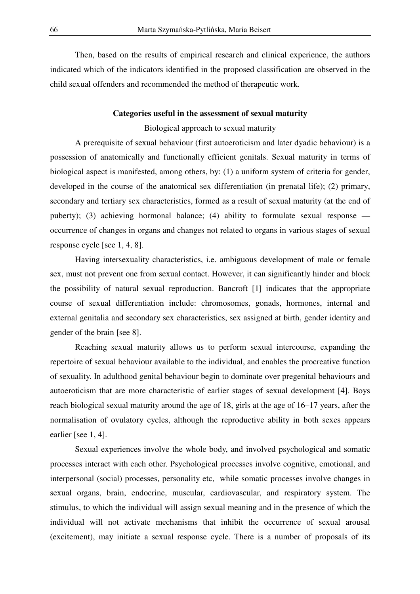Then, based on the results of empirical research and clinical experience, the authors indicated which of the indicators identified in the proposed classification are observed in the child sexual offenders and recommended the method of therapeutic work.

# **Categories useful in the assessment of sexual maturity**

Biological approach to sexual maturity

 A prerequisite of sexual behaviour (first autoeroticism and later dyadic behaviour) is a possession of anatomically and functionally efficient genitals. Sexual maturity in terms of biological aspect is manifested, among others, by: (1) a uniform system of criteria for gender, developed in the course of the anatomical sex differentiation (in prenatal life); (2) primary, secondary and tertiary sex characteristics, formed as a result of sexual maturity (at the end of puberty); (3) achieving hormonal balance; (4) ability to formulate sexual response occurrence of changes in organs and changes not related to organs in various stages of sexual response cycle [see 1, 4, 8].

 Having intersexuality characteristics, i.e. ambiguous development of male or female sex, must not prevent one from sexual contact. However, it can significantly hinder and block the possibility of natural sexual reproduction. Bancroft [1] indicates that the appropriate course of sexual differentiation include: chromosomes, gonads, hormones, internal and external genitalia and secondary sex characteristics, sex assigned at birth, gender identity and gender of the brain [see 8].

 Reaching sexual maturity allows us to perform sexual intercourse, expanding the repertoire of sexual behaviour available to the individual, and enables the procreative function of sexuality. In adulthood genital behaviour begin to dominate over pregenital behaviours and autoeroticism that are more characteristic of earlier stages of sexual development [4]. Boys reach biological sexual maturity around the age of 18, girls at the age of 16–17 years, after the normalisation of ovulatory cycles, although the reproductive ability in both sexes appears earlier [see 1, 4].

 Sexual experiences involve the whole body, and involved psychological and somatic processes interact with each other. Psychological processes involve cognitive, emotional, and interpersonal (social) processes, personality etc, while somatic processes involve changes in sexual organs, brain, endocrine, muscular, cardiovascular, and respiratory system. The stimulus, to which the individual will assign sexual meaning and in the presence of which the individual will not activate mechanisms that inhibit the occurrence of sexual arousal (excitement), may initiate a sexual response cycle. There is a number of proposals of its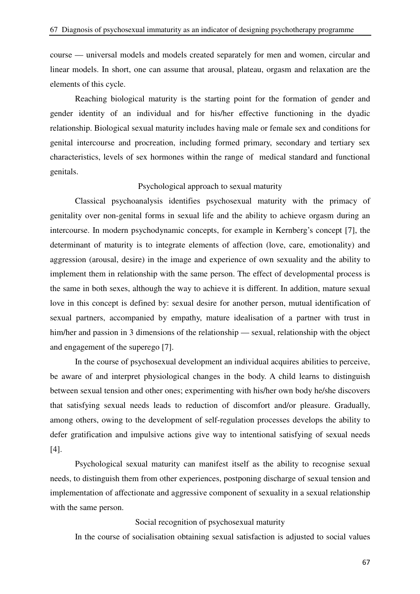course — universal models and models created separately for men and women, circular and linear models. In short, one can assume that arousal, plateau, orgasm and relaxation are the elements of this cycle.

 Reaching biological maturity is the starting point for the formation of gender and gender identity of an individual and for his/her effective functioning in the dyadic relationship. Biological sexual maturity includes having male or female sex and conditions for genital intercourse and procreation, including formed primary, secondary and tertiary sex characteristics, levels of sex hormones within the range of medical standard and functional genitals.

#### Psychological approach to sexual maturity

 Classical psychoanalysis identifies psychosexual maturity with the primacy of genitality over non-genital forms in sexual life and the ability to achieve orgasm during an intercourse. In modern psychodynamic concepts, for example in Kernberg's concept [7], the determinant of maturity is to integrate elements of affection (love, care, emotionality) and aggression (arousal, desire) in the image and experience of own sexuality and the ability to implement them in relationship with the same person. The effect of developmental process is the same in both sexes, although the way to achieve it is different. In addition, mature sexual love in this concept is defined by: sexual desire for another person, mutual identification of sexual partners, accompanied by empathy, mature idealisation of a partner with trust in him/her and passion in 3 dimensions of the relationship — sexual, relationship with the object and engagement of the superego [7].

In the course of psychosexual development an individual acquires abilities to perceive, be aware of and interpret physiological changes in the body. A child learns to distinguish between sexual tension and other ones; experimenting with his/her own body he/she discovers that satisfying sexual needs leads to reduction of discomfort and/or pleasure. Gradually, among others, owing to the development of self-regulation processes develops the ability to defer gratification and impulsive actions give way to intentional satisfying of sexual needs [4].

 Psychological sexual maturity can manifest itself as the ability to recognise sexual needs, to distinguish them from other experiences, postponing discharge of sexual tension and implementation of affectionate and aggressive component of sexuality in a sexual relationship with the same person.

#### Social recognition of psychosexual maturity

In the course of socialisation obtaining sexual satisfaction is adjusted to social values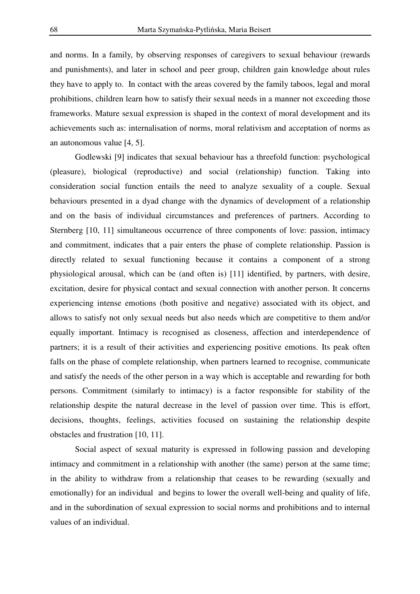and norms. In a family, by observing responses of caregivers to sexual behaviour (rewards and punishments), and later in school and peer group, children gain knowledge about rules they have to apply to. In contact with the areas covered by the family taboos, legal and moral prohibitions, children learn how to satisfy their sexual needs in a manner not exceeding those frameworks. Mature sexual expression is shaped in the context of moral development and its achievements such as: internalisation of norms, moral relativism and acceptation of norms as an autonomous value [4, 5].

 Godlewski [9] indicates that sexual behaviour has a threefold function: psychological (pleasure), biological (reproductive) and social (relationship) function. Taking into consideration social function entails the need to analyze sexuality of a couple. Sexual behaviours presented in a dyad change with the dynamics of development of a relationship and on the basis of individual circumstances and preferences of partners. According to Sternberg [10, 11] simultaneous occurrence of three components of love: passion, intimacy and commitment, indicates that a pair enters the phase of complete relationship. Passion is directly related to sexual functioning because it contains a component of a strong physiological arousal, which can be (and often is) [11] identified, by partners, with desire, excitation, desire for physical contact and sexual connection with another person. It concerns experiencing intense emotions (both positive and negative) associated with its object, and allows to satisfy not only sexual needs but also needs which are competitive to them and/or equally important. Intimacy is recognised as closeness, affection and interdependence of partners; it is a result of their activities and experiencing positive emotions. Its peak often falls on the phase of complete relationship, when partners learned to recognise, communicate and satisfy the needs of the other person in a way which is acceptable and rewarding for both persons. Commitment (similarly to intimacy) is a factor responsible for stability of the relationship despite the natural decrease in the level of passion over time. This is effort, decisions, thoughts, feelings, activities focused on sustaining the relationship despite obstacles and frustration [10, 11].

 Social aspect of sexual maturity is expressed in following passion and developing intimacy and commitment in a relationship with another (the same) person at the same time; in the ability to withdraw from a relationship that ceases to be rewarding (sexually and emotionally) for an individual and begins to lower the overall well-being and quality of life, and in the subordination of sexual expression to social norms and prohibitions and to internal values of an individual.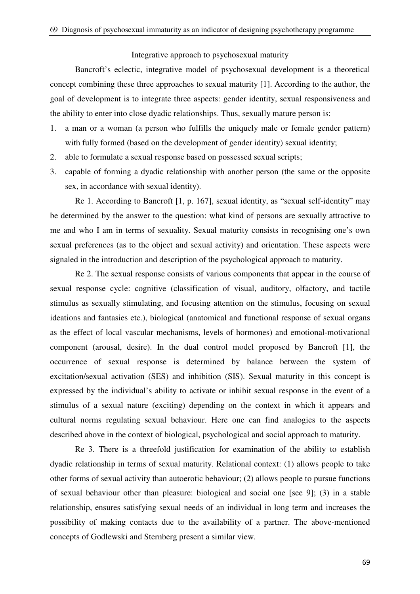#### Integrative approach to psychosexual maturity

 Bancroft's eclectic, integrative model of psychosexual development is a theoretical concept combining these three approaches to sexual maturity [1]. According to the author, the goal of development is to integrate three aspects: gender identity, sexual responsiveness and the ability to enter into close dyadic relationships. Thus, sexually mature person is:

- 1. a man or a woman (a person who fulfills the uniquely male or female gender pattern) with fully formed (based on the development of gender identity) sexual identity;
- 2. able to formulate a sexual response based on possessed sexual scripts;
- 3. capable of forming a dyadic relationship with another person (the same or the opposite sex, in accordance with sexual identity).

 Re 1. According to Bancroft [1, p. 167], sexual identity, as "sexual self-identity" may be determined by the answer to the question: what kind of persons are sexually attractive to me and who I am in terms of sexuality. Sexual maturity consists in recognising one's own sexual preferences (as to the object and sexual activity) and orientation. These aspects were signaled in the introduction and description of the psychological approach to maturity.

 Re 2. The sexual response consists of various components that appear in the course of sexual response cycle: cognitive (classification of visual, auditory, olfactory, and tactile stimulus as sexually stimulating, and focusing attention on the stimulus, focusing on sexual ideations and fantasies etc.), biological (anatomical and functional response of sexual organs as the effect of local vascular mechanisms, levels of hormones) and emotional-motivational component (arousal, desire). In the dual control model proposed by Bancroft [1], the occurrence of sexual response is determined by balance between the system of excitation/sexual activation (SES) and inhibition (SIS). Sexual maturity in this concept is expressed by the individual's ability to activate or inhibit sexual response in the event of a stimulus of a sexual nature (exciting) depending on the context in which it appears and cultural norms regulating sexual behaviour. Here one can find analogies to the aspects described above in the context of biological, psychological and social approach to maturity.

 Re 3. There is a threefold justification for examination of the ability to establish dyadic relationship in terms of sexual maturity. Relational context: (1) allows people to take other forms of sexual activity than autoerotic behaviour; (2) allows people to pursue functions of sexual behaviour other than pleasure: biological and social one [see 9]; (3) in a stable relationship, ensures satisfying sexual needs of an individual in long term and increases the possibility of making contacts due to the availability of a partner. The above-mentioned concepts of Godlewski and Sternberg present a similar view.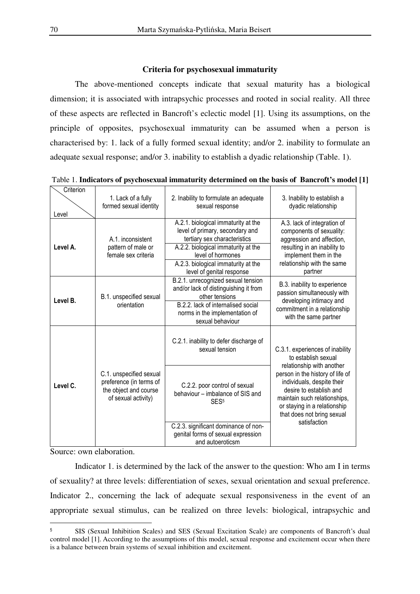#### **Criteria for psychosexual immaturity**

 The above-mentioned concepts indicate that sexual maturity has a biological dimension; it is associated with intrapsychic processes and rooted in social reality. All three of these aspects are reflected in Bancroft's eclectic model [1]. Using its assumptions, on the principle of opposites, psychosexual immaturity can be assumed when a person is characterised by: 1. lack of a fully formed sexual identity; and/or 2. inability to formulate an adequate sexual response; and/or 3. inability to establish a dyadic relationship (Table. 1).

| Criterion<br>Level | 1. Lack of a fully<br>formed sexual identity                                                       | 2. Inability to formulate an adequate<br>sexual response                                                                                                                                                                               | 3. Inability to establish a<br>dyadic relationship                                                                                                                                                      |
|--------------------|----------------------------------------------------------------------------------------------------|----------------------------------------------------------------------------------------------------------------------------------------------------------------------------------------------------------------------------------------|---------------------------------------------------------------------------------------------------------------------------------------------------------------------------------------------------------|
| Level A.           | A.1. inconsistent<br>pattern of male or<br>female sex criteria                                     | A.2.1. biological immaturity at the<br>level of primary, secondary and<br>tertiary sex characteristics<br>A.2.2. biological immaturity at the<br>level of hormones<br>A.2.3. biological immaturity at the<br>level of genital response | A.3. lack of integration of<br>components of sexuality:<br>aggression and affection,<br>resulting in an inability to<br>implement them in the<br>relationship with the same<br>partner                  |
| Level B.           | B.1. unspecified sexual<br>orientation                                                             | B.2.1. unrecognized sexual tension<br>and/or lack of distinguishing it from<br>other tensions<br>B.2.2. lack of internalised social<br>norms in the implementation of<br>sexual behaviour                                              | B.3. inability to experience<br>passion simultaneously with<br>developing intimacy and<br>commitment in a relationship<br>with the same partner                                                         |
|                    |                                                                                                    | C.2.1. inability to defer discharge of<br>sexual tension                                                                                                                                                                               | C.3.1. experiences of inability<br>to establish sexual<br>relationship with another                                                                                                                     |
| Level C.           | C.1. unspecified sexual<br>preference (in terms of<br>the object and course<br>of sexual activity) | C.2.2. poor control of sexual<br>behaviour - imbalance of SIS and<br>SES <sup>5</sup>                                                                                                                                                  | person in the history of life of<br>individuals, despite their<br>desire to establish and<br>maintain such relationships,<br>or staying in a relationship<br>that does not bring sexual<br>satisfaction |
|                    |                                                                                                    | C.2.3. significant dominance of non-<br>genital forms of sexual expression<br>and autoeroticsm                                                                                                                                         |                                                                                                                                                                                                         |

Source: own elaboration.

 $\overline{a}$ 

 Indicator 1. is determined by the lack of the answer to the question: Who am I in terms of sexuality? at three levels: differentiation of sexes, sexual orientation and sexual preference. Indicator 2., concerning the lack of adequate sexual responsiveness in the event of an appropriate sexual stimulus, can be realized on three levels: biological, intrapsychic and

<sup>5</sup> SIS (Sexual Inhibition Scales) and SES (Sexual Excitation Scale) are components of Bancroft's dual control model [1]. According to the assumptions of this model, sexual response and excitement occur when there is a balance between brain systems of sexual inhibition and excitement.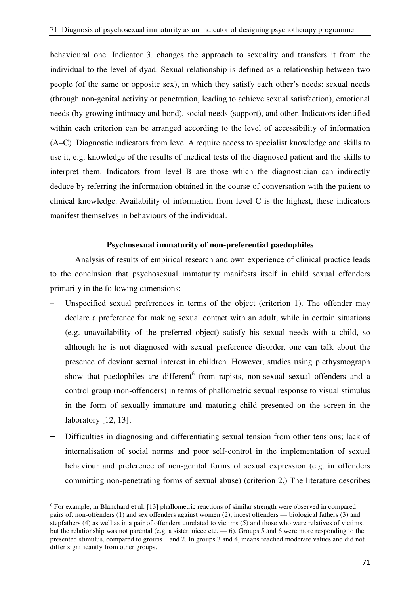behavioural one. Indicator 3. changes the approach to sexuality and transfers it from the individual to the level of dyad. Sexual relationship is defined as a relationship between two people (of the same or opposite sex), in which they satisfy each other's needs: sexual needs (through non-genital activity or penetration, leading to achieve sexual satisfaction), emotional needs (by growing intimacy and bond), social needs (support), and other. Indicators identified within each criterion can be arranged according to the level of accessibility of information (A–C). Diagnostic indicators from level A require access to specialist knowledge and skills to use it, e.g. knowledge of the results of medical tests of the diagnosed patient and the skills to interpret them. Indicators from level B are those which the diagnostician can indirectly deduce by referring the information obtained in the course of conversation with the patient to clinical knowledge. Availability of information from level C is the highest, these indicators manifest themselves in behaviours of the individual.

## **Psychosexual immaturity of non-preferential paedophiles**

 Analysis of results of empirical research and own experience of clinical practice leads to the conclusion that psychosexual immaturity manifests itself in child sexual offenders primarily in the following dimensions:

- Unspecified sexual preferences in terms of the object (criterion 1). The offender may declare a preference for making sexual contact with an adult, while in certain situations (e.g. unavailability of the preferred object) satisfy his sexual needs with a child, so although he is not diagnosed with sexual preference disorder, one can talk about the presence of deviant sexual interest in children. However, studies using plethysmograph show that paedophiles are different<sup>6</sup> from rapists, non-sexual sexual offenders and a control group (non-offenders) in terms of phallometric sexual response to visual stimulus in the form of sexually immature and maturing child presented on the screen in the laboratory [12, 13];
- Difficulties in diagnosing and differentiating sexual tension from other tensions; lack of internalisation of social norms and poor self-control in the implementation of sexual behaviour and preference of non-genital forms of sexual expression (e.g. in offenders committing non-penetrating forms of sexual abuse) (criterion 2.) The literature describes

 $\overline{a}$ 

<sup>&</sup>lt;sup>6</sup> For example, in Blanchard et al. [13] phallometric reactions of similar strength were observed in compared pairs of: non-offenders (1) and sex offenders against women (2), incest offenders — biological fathers (3) and stepfathers (4) as well as in a pair of offenders unrelated to victims (5) and those who were relatives of victims, but the relationship was not parental (e.g. a sister, niece etc. — 6). Groups 5 and 6 were more responding to the presented stimulus, compared to groups 1 and 2. In groups 3 and 4, means reached moderate values and did not differ significantly from other groups.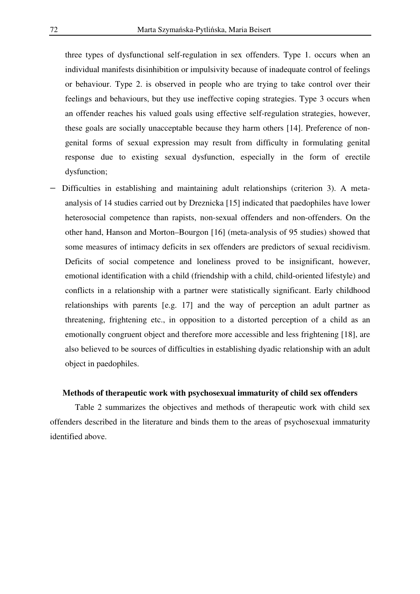three types of dysfunctional self-regulation in sex offenders. Type 1. occurs when an individual manifests disinhibition or impulsivity because of inadequate control of feelings or behaviour. Type 2. is observed in people who are trying to take control over their feelings and behaviours, but they use ineffective coping strategies. Type 3 occurs when an offender reaches his valued goals using effective self-regulation strategies, however, these goals are socially unacceptable because they harm others [14]. Preference of nongenital forms of sexual expression may result from difficulty in formulating genital response due to existing sexual dysfunction, especially in the form of erectile dysfunction;

− Difficulties in establishing and maintaining adult relationships (criterion 3). A metaanalysis of 14 studies carried out by Dreznicka [15] indicated that paedophiles have lower heterosocial competence than rapists, non-sexual offenders and non-offenders. On the other hand, Hanson and Morton–Bourgon [16] (meta-analysis of 95 studies) showed that some measures of intimacy deficits in sex offenders are predictors of sexual recidivism. Deficits of social competence and loneliness proved to be insignificant, however, emotional identification with a child (friendship with a child, child-oriented lifestyle) and conflicts in a relationship with a partner were statistically significant. Early childhood relationships with parents [e.g. 17] and the way of perception an adult partner as threatening, frightening etc., in opposition to a distorted perception of a child as an emotionally congruent object and therefore more accessible and less frightening [18], are also believed to be sources of difficulties in establishing dyadic relationship with an adult object in paedophiles.

#### **Methods of therapeutic work with psychosexual immaturity of child sex offenders**

 Table 2 summarizes the objectives and methods of therapeutic work with child sex offenders described in the literature and binds them to the areas of psychosexual immaturity identified above.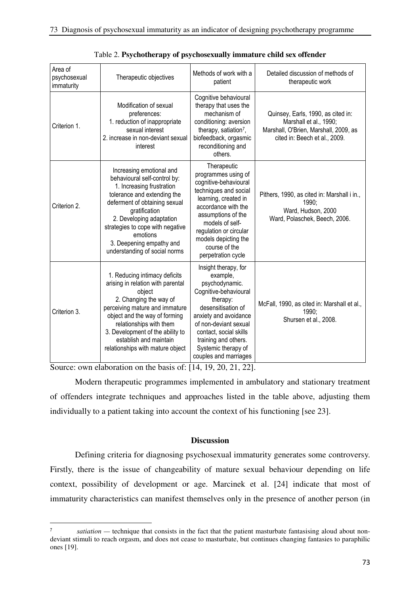| Area of<br>psychosexual<br>immaturity | Therapeutic objectives                                                                                                                                                                                                                                                                                          | Methods of work with a<br>patient                                                                                                                                                                                                                                     | Detailed discussion of methods of<br>therapeutic work                                                                                  |
|---------------------------------------|-----------------------------------------------------------------------------------------------------------------------------------------------------------------------------------------------------------------------------------------------------------------------------------------------------------------|-----------------------------------------------------------------------------------------------------------------------------------------------------------------------------------------------------------------------------------------------------------------------|----------------------------------------------------------------------------------------------------------------------------------------|
| Criterion 1.                          | Modification of sexual<br>preferences:<br>1. reduction of inappropriate<br>sexual interest<br>2. increase in non-deviant sexual<br>interest                                                                                                                                                                     | Cognitive behavioural<br>therapy that uses the<br>mechanism of<br>conditioning: aversion<br>therapy, satiation <sup>7</sup> ,<br>biofeedback, orgasmic<br>reconditioning and<br>others.                                                                               | Quinsey, Earls, 1990, as cited in:<br>Marshall et al., 1990;<br>Marshall, O'Brien, Marshall, 2009, as<br>cited in: Beech et al., 2009. |
| Criterion 2.                          | Increasing emotional and<br>behavioural self-control by:<br>1. Increasing frustration<br>tolerance and extending the<br>deferment of obtaining sexual<br>gratification<br>2. Developing adaptation<br>strategies to cope with negative<br>emotions<br>3. Deepening empathy and<br>understanding of social norms | Therapeutic<br>programmes using of<br>cognitive-behavioural<br>techniques and social<br>learning, created in<br>accordance with the<br>assumptions of the<br>models of self-<br>regulation or circular<br>models depicting the<br>course of the<br>perpetration cycle | Pithers, 1990, as cited in: Marshall i in.,<br>1990;<br>Ward, Hudson, 2000<br>Ward, Polaschek, Beech, 2006.                            |
| Criterion 3.                          | 1. Reducing intimacy deficits<br>arising in relation with parental<br>object<br>2. Changing the way of<br>perceiving mature and immature<br>object and the way of forming<br>relationships with them<br>3. Development of the ability to<br>establish and maintain<br>relationships with mature object          | Insight therapy, for<br>example,<br>psychodynamic.<br>Cognitive-behavioural<br>therapy:<br>desensitisation of<br>anxiety and avoidance<br>of non-deviant sexual<br>contact, social skills<br>training and others.<br>Systemic therapy of<br>couples and marriages     | McFall, 1990, as cited in: Marshall et al.,<br>1990;<br>Shursen et al., 2008.                                                          |

Table 2. **Psychotherapy of psychosexually immature child sex offender**

Source: own elaboration on the basis of: [14, 19, 20, 21, 22].

 $\overline{a}$ 

Modern therapeutic programmes implemented in ambulatory and stationary treatment of offenders integrate techniques and approaches listed in the table above, adjusting them individually to a patient taking into account the context of his functioning [see 23].

# **Discussion**

Defining criteria for diagnosing psychosexual immaturity generates some controversy. Firstly, there is the issue of changeability of mature sexual behaviour depending on life context, possibility of development or age. Marcinek et al. [24] indicate that most of immaturity characteristics can manifest themselves only in the presence of another person (in

<sup>7</sup> *satiation* — technique that consists in the fact that the patient masturbate fantasising aloud about nondeviant stimuli to reach orgasm, and does not cease to masturbate, but continues changing fantasies to paraphilic ones [19].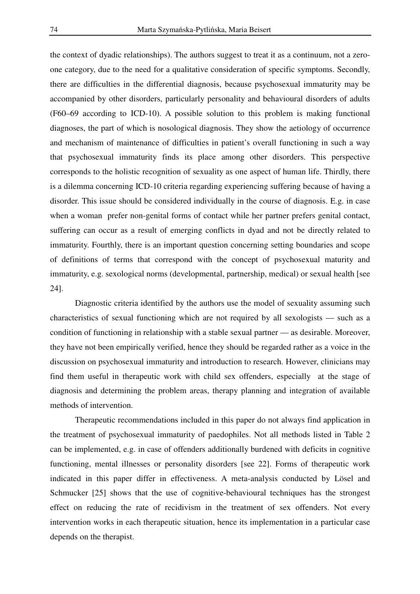the context of dyadic relationships). The authors suggest to treat it as a continuum, not a zeroone category, due to the need for a qualitative consideration of specific symptoms. Secondly, there are difficulties in the differential diagnosis, because psychosexual immaturity may be accompanied by other disorders, particularly personality and behavioural disorders of adults (F60–69 according to ICD-10). A possible solution to this problem is making functional diagnoses, the part of which is nosological diagnosis. They show the aetiology of occurrence and mechanism of maintenance of difficulties in patient's overall functioning in such a way that psychosexual immaturity finds its place among other disorders. This perspective corresponds to the holistic recognition of sexuality as one aspect of human life. Thirdly, there is a dilemma concerning ICD-10 criteria regarding experiencing suffering because of having a disorder. This issue should be considered individually in the course of diagnosis. E.g. in case when a woman prefer non-genital forms of contact while her partner prefers genital contact, suffering can occur as a result of emerging conflicts in dyad and not be directly related to immaturity. Fourthly, there is an important question concerning setting boundaries and scope of definitions of terms that correspond with the concept of psychosexual maturity and immaturity, e.g. sexological norms (developmental, partnership, medical) or sexual health [see 24].

 Diagnostic criteria identified by the authors use the model of sexuality assuming such characteristics of sexual functioning which are not required by all sexologists — such as a condition of functioning in relationship with a stable sexual partner — as desirable. Moreover, they have not been empirically verified, hence they should be regarded rather as a voice in the discussion on psychosexual immaturity and introduction to research. However, clinicians may find them useful in therapeutic work with child sex offenders, especially at the stage of diagnosis and determining the problem areas, therapy planning and integration of available methods of intervention.

 Therapeutic recommendations included in this paper do not always find application in the treatment of psychosexual immaturity of paedophiles. Not all methods listed in Table 2 can be implemented, e.g. in case of offenders additionally burdened with deficits in cognitive functioning, mental illnesses or personality disorders [see 22]. Forms of therapeutic work indicated in this paper differ in effectiveness. A meta-analysis conducted by Lösel and Schmucker [25] shows that the use of cognitive-behavioural techniques has the strongest effect on reducing the rate of recidivism in the treatment of sex offenders. Not every intervention works in each therapeutic situation, hence its implementation in a particular case depends on the therapist.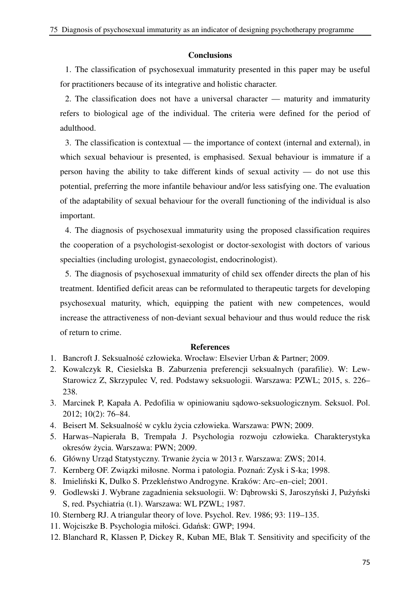## **Conclusions**

1. The classification of psychosexual immaturity presented in this paper may be useful for practitioners because of its integrative and holistic character.

2. The classification does not have a universal character — maturity and immaturity refers to biological age of the individual. The criteria were defined for the period of adulthood.

3. The classification is contextual — the importance of context (internal and external), in which sexual behaviour is presented, is emphasised. Sexual behaviour is immature if a person having the ability to take different kinds of sexual activity — do not use this potential, preferring the more infantile behaviour and/or less satisfying one. The evaluation of the adaptability of sexual behaviour for the overall functioning of the individual is also important.

4. The diagnosis of psychosexual immaturity using the proposed classification requires the cooperation of a psychologist-sexologist or doctor-sexologist with doctors of various specialties (including urologist, gynaecologist, endocrinologist).

5. The diagnosis of psychosexual immaturity of child sex offender directs the plan of his treatment. Identified deficit areas can be reformulated to therapeutic targets for developing psychosexual maturity, which, equipping the patient with new competences, would increase the attractiveness of non-deviant sexual behaviour and thus would reduce the risk of return to crime.

#### **References**

- 1. Bancroft J. Seksualność człowieka. Wrocław: Elsevier Urban & Partner; 2009.
- 2. Kowalczyk R, Ciesielska B. Zaburzenia preferencji seksualnych (parafilie). W: Lew-Starowicz Z, Skrzypulec V, red. Podstawy seksuologii. Warszawa: PZWL; 2015, s. 226– 238.
- 3. Marcinek P, Kapała A. Pedofilia w opiniowaniu sądowo-seksuologicznym. Seksuol. Pol. 2012; 10(2): 76–84.
- 4. Beisert M. Seksualność w cyklu życia człowieka. Warszawa: PWN; 2009.
- 5. Harwas–Napierała B, Trempała J. Psychologia rozwoju człowieka. Charakterystyka okresów życia. Warszawa: PWN; 2009.
- 6. Główny Urząd Statystyczny. Trwanie życia w 2013 r. Warszawa: ZWS; 2014.
- 7. Kernberg OF. Związki miłosne. Norma i patologia. Poznań: Zysk i S-ka; 1998.
- 8. Imieliński K, Dulko S. Przekleństwo Androgyne. Kraków: Arc–en–ciel; 2001.
- 9. Godlewski J. Wybrane zagadnienia seksuologii. W: Dąbrowski S, Jaroszyński J, Pużyński S, red. Psychiatria (t.1). Warszawa: WL PZWL; 1987.
- 10. Sternberg RJ. A triangular theory of love. Psychol. Rev. 1986; 93: 119–135.
- 11. Wojciszke B. Psychologia miłości. Gdańsk: GWP; 1994.
- 12. Blanchard R, Klassen P, Dickey R, Kuban ME, Blak T. Sensitivity and specificity of the